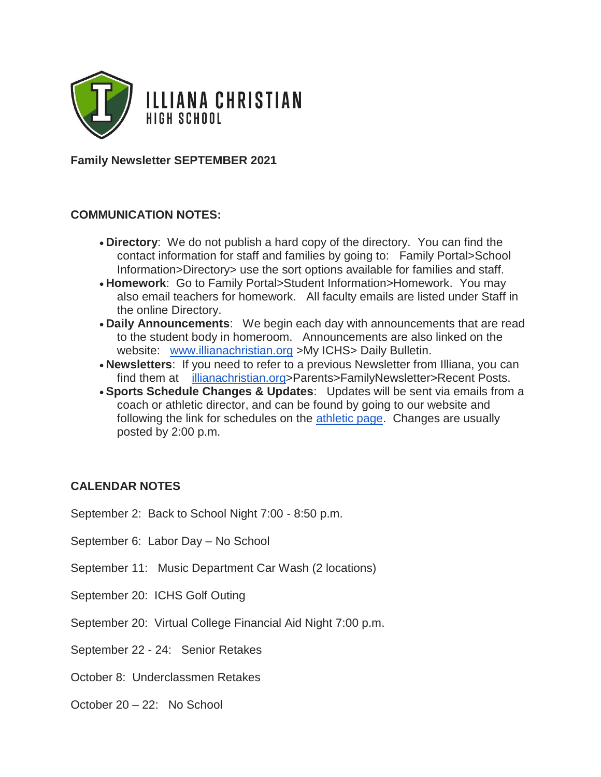

**Family Newsletter SEPTEMBER 2021**

#### **COMMUNICATION NOTES:**

- **Directory**: We do not publish a hard copy of the directory. You can find the contact information for staff and families by going to: Family Portal>School Information>Directory> use the sort options available for families and staff.
- **Homework**: Go to Family Portal>Student Information>Homework. You may also email teachers for homework. All faculty emails are listed under Staff in the online Directory.
- **Daily Announcements**: We begin each day with announcements that are read to the student body in homeroom. Announcements are also linked on the website: [www.illianachristian.org](http://www.illianachristian.org/) >My ICHS> Daily Bulletin.
- **Newsletters**: If you need to refer to a previous Newsletter from Illiana, you can find them at [illianachristian.org>](http://illianachristian.org/)Parents>FamilyNewsletter>Recent Posts.
- **Sports Schedule Changes & Updates**: Updates will be sent via emails from a coach or athletic director, and can be found by going to our website and following the link for schedules on the [athletic page.](https://illianachristianvikings.com/events) Changes are usually posted by 2:00 p.m.

#### **CALENDAR NOTES**

September 2: Back to School Night 7:00 - 8:50 p.m.

September 6: Labor Day – No School

- September 11: Music Department Car Wash (2 locations)
- September 20: ICHS Golf Outing
- September 20: Virtual College Financial Aid Night 7:00 p.m.

September 22 - 24: Senior Retakes

- October 8: Underclassmen Retakes
- October 20 22: No School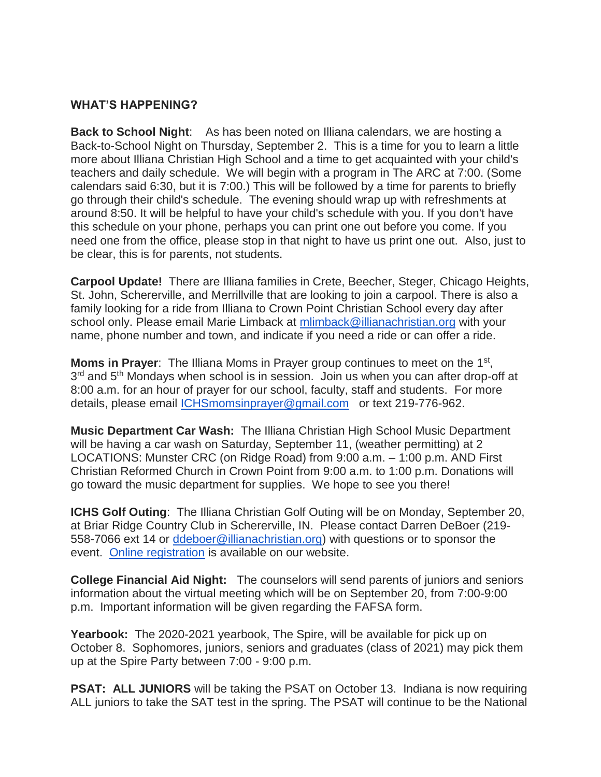### **WHAT'S HAPPENING?**

**Back to School Night**: As has been noted on Illiana calendars, we are hosting a Back-to-School Night on Thursday, September 2. This is a time for you to learn a little more about Illiana Christian High School and a time to get acquainted with your child's teachers and daily schedule. We will begin with a program in The ARC at 7:00. (Some calendars said 6:30, but it is 7:00.) This will be followed by a time for parents to briefly go through their child's schedule. The evening should wrap up with refreshments at around 8:50. It will be helpful to have your child's schedule with you. If you don't have this schedule on your phone, perhaps you can print one out before you come. If you need one from the office, please stop in that night to have us print one out. Also, just to be clear, this is for parents, not students.

**Carpool Update!** There are Illiana families in Crete, Beecher, Steger, Chicago Heights, St. John, Schererville, and Merrillville that are looking to join a carpool. There is also a family looking for a ride from Illiana to Crown Point Christian School every day after school only. Please email Marie Limback at [mlimback@illianachristian.org](mailto:mlimback@illianachristian.org) with your name, phone number and town, and indicate if you need a ride or can offer a ride.

Moms in Prayer: The Illiana Moms in Prayer group continues to meet on the 1<sup>st</sup>, 3<sup>rd</sup> and 5<sup>th</sup> Mondays when school is in session. Join us when you can after drop-off at 8:00 a.m. for an hour of prayer for our school, faculty, staff and students. For more details, please email [ICHSmomsinprayer@gmail.com](mailto:ICHSmomsinprayer@gmail.com) or text 219-776-962.

**Music Department Car Wash:** The Illiana Christian High School Music Department will be having a car wash on Saturday, September 11, (weather permitting) at 2 LOCATIONS: Munster CRC (on Ridge Road) from 9:00 a.m. – 1:00 p.m. AND First Christian Reformed Church in Crown Point from 9:00 a.m. to 1:00 p.m. Donations will go toward the music department for supplies. We hope to see you there!

**ICHS Golf Outing**: The Illiana Christian Golf Outing will be on Monday, September 20, at Briar Ridge Country Club in Schererville, IN. Please contact Darren DeBoer (219- 558-7066 ext 14 or [ddeboer@illianachristian.org\)](mailto:ddeboer@illianachristian.org) with questions or to sponsor the event. [Online registration](https://www.illianachristian.org/athletics/athletic-department-fundraisers/golf-outing-registration/) is available on our website.

**College Financial Aid Night:** The counselors will send parents of juniors and seniors information about the virtual meeting which will be on September 20, from 7:00-9:00 p.m. Important information will be given regarding the FAFSA form.

**Yearbook:** The 2020-2021 yearbook, The Spire, will be available for pick up on October 8. Sophomores, juniors, seniors and graduates (class of 2021) may pick them up at the Spire Party between 7:00 - 9:00 p.m.

**PSAT: ALL JUNIORS** will be taking the PSAT on October 13. Indiana is now requiring ALL juniors to take the SAT test in the spring. The PSAT will continue to be the National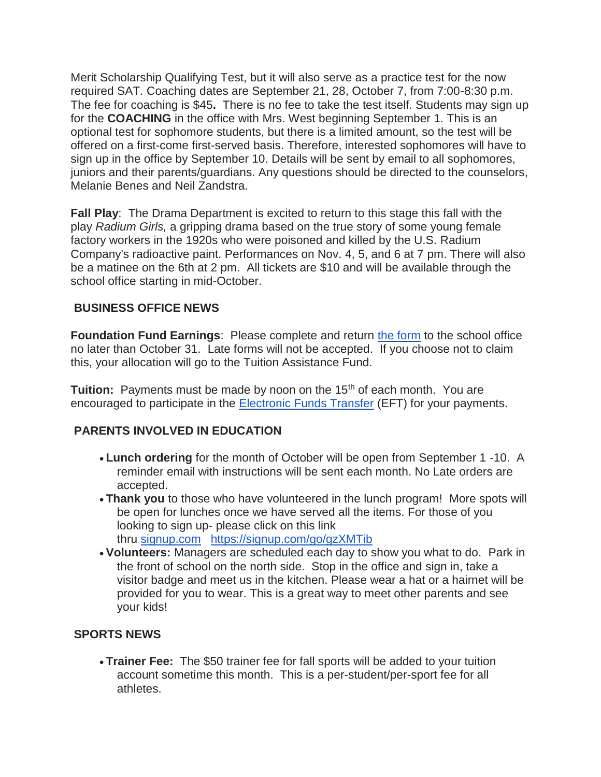Merit Scholarship Qualifying Test, but it will also serve as a practice test for the now required SAT. Coaching dates are September 21, 28, October 7, from 7:00-8:30 p.m. The fee for coaching is \$45**.** There is no fee to take the test itself. Students may sign up for the **COACHING** in the office with Mrs. West beginning September 1. This is an optional test for sophomore students, but there is a limited amount, so the test will be offered on a first-come first-served basis. Therefore, interested sophomores will have to sign up in the office by September 10. Details will be sent by email to all sophomores, juniors and their parents/guardians. Any questions should be directed to the counselors, Melanie Benes and Neil Zandstra.

**Fall Play**: The Drama Department is excited to return to this stage this fall with the play *Radium Girls,* a gripping drama based on the true story of some young female factory workers in the 1920s who were poisoned and killed by the U.S. Radium Company's radioactive paint. Performances on Nov. 4, 5, and 6 at 7 pm. There will also be a matinee on the 6th at 2 pm. All tickets are \$10 and will be available through the school office starting in mid-October.

## **BUSINESS OFFICE NEWS**

**Foundation Fund Earnings:** Please complete and return [the form](https://www.illianachristian.org/wp-content/uploads/2021/04/FOUNDATION-FORM-21-22.pdf) to the school office no later than October 31. Late forms will not be accepted. If you choose not to claim this, your allocation will go to the Tuition Assistance Fund.

**Tuition:** Payments must be made by noon on the 15<sup>th</sup> of each month. You are encouraged to participate in the [Electronic Funds Transfer](https://www.illianachristian.org/wp-content/uploads/2020/07/20-21-Electronic-Fund-Transfer-Form.pdf) (EFT) for your payments.

# **PARENTS INVOLVED IN EDUCATION**

- **Lunch ordering** for the month of October will be open from September 1 -10. A reminder email with instructions will be sent each month. No Late orders are accepted.
- **Thank you** to those who have volunteered in the lunch program! More spots will be open for lunches once we have served all the items. For those of you looking to sign up- please click on this link thru [signup.com](http://signup.com/) <https://signup.com/go/gzXMTib>
- **Volunteers:** Managers are scheduled each day to show you what to do. Park in the front of school on the north side. Stop in the office and sign in, take a visitor badge and meet us in the kitchen. Please wear a hat or a hairnet will be provided for you to wear. This is a great way to meet other parents and see your kids!

## **SPORTS NEWS**

• **Trainer Fee:** The \$50 trainer fee for fall sports will be added to your tuition account sometime this month. This is a per-student/per-sport fee for all athletes.